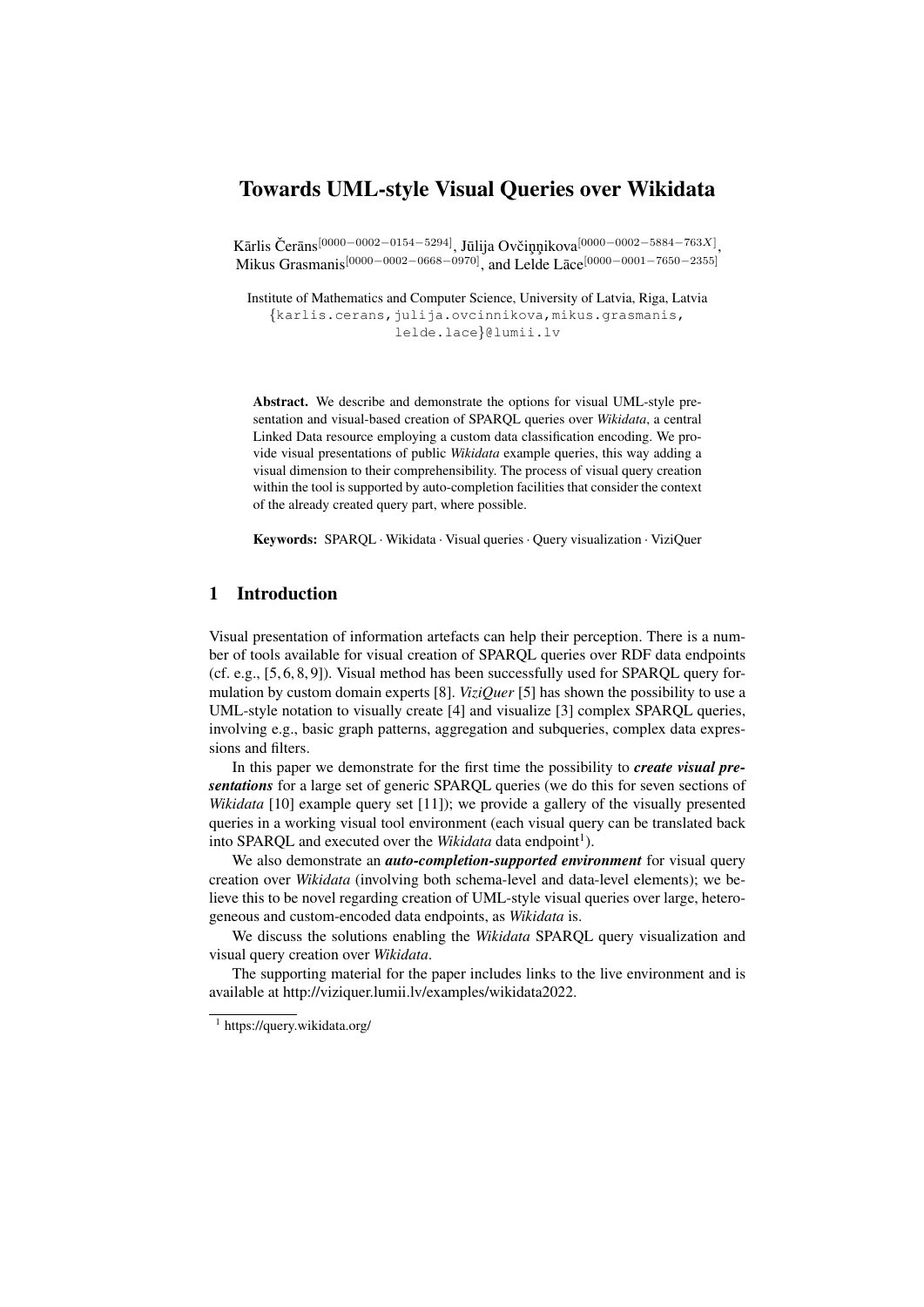# Towards UML-style Visual Queries over Wikidata

Kārlis Čerāns<sup>[0000–0002–0154–5294]</sup>, Jūlija Ovčiņņikova<sup>[0000–0002–5884–763X]</sup>, Mikus Grasmanis<sup>[0000–0002–0668–0970]</sup>, and Lelde Lāce<sup>[0000–0001–7650–2355]</sup>

Institute of Mathematics and Computer Science, University of Latvia, Riga, Latvia {karlis.cerans,julija.ovcinnikova,mikus.grasmanis, lelde.lace}@lumii.lv

Abstract. We describe and demonstrate the options for visual UML-style presentation and visual-based creation of SPARQL queries over *Wikidata*, a central Linked Data resource employing a custom data classification encoding. We provide visual presentations of public *Wikidata* example queries, this way adding a visual dimension to their comprehensibility. The process of visual query creation within the tool is supported by auto-completion facilities that consider the context of the already created query part, where possible.

Keywords: SPARQL · Wikidata · Visual queries · Query visualization · ViziQuer

### 1 Introduction

Visual presentation of information artefacts can help their perception. There is a number of tools available for visual creation of SPARQL queries over RDF data endpoints (cf. e.g., [5, 6, 8, 9]). Visual method has been successfully used for SPARQL query formulation by custom domain experts [8]. *ViziQuer* [5] has shown the possibility to use a UML-style notation to visually create [4] and visualize [3] complex SPARQL queries, involving e.g., basic graph patterns, aggregation and subqueries, complex data expressions and filters.

In this paper we demonstrate for the first time the possibility to *create visual presentations* for a large set of generic SPARQL queries (we do this for seven sections of *Wikidata* [10] example query set [11]); we provide a gallery of the visually presented queries in a working visual tool environment (each visual query can be translated back into SPARQL and executed over the *Wikidata* data endpoint<sup>1</sup>).

We also demonstrate an *auto-completion-supported environment* for visual query creation over *Wikidata* (involving both schema-level and data-level elements); we believe this to be novel regarding creation of UML-style visual queries over large, heterogeneous and custom-encoded data endpoints, as *Wikidata* is.

We discuss the solutions enabling the *Wikidata* SPARQL query visualization and visual query creation over *Wikidata*.

The supporting material for the paper includes links to the live environment and is available at http://viziquer.lumii.lv/examples/wikidata2022.

<sup>1</sup> https://query.wikidata.org/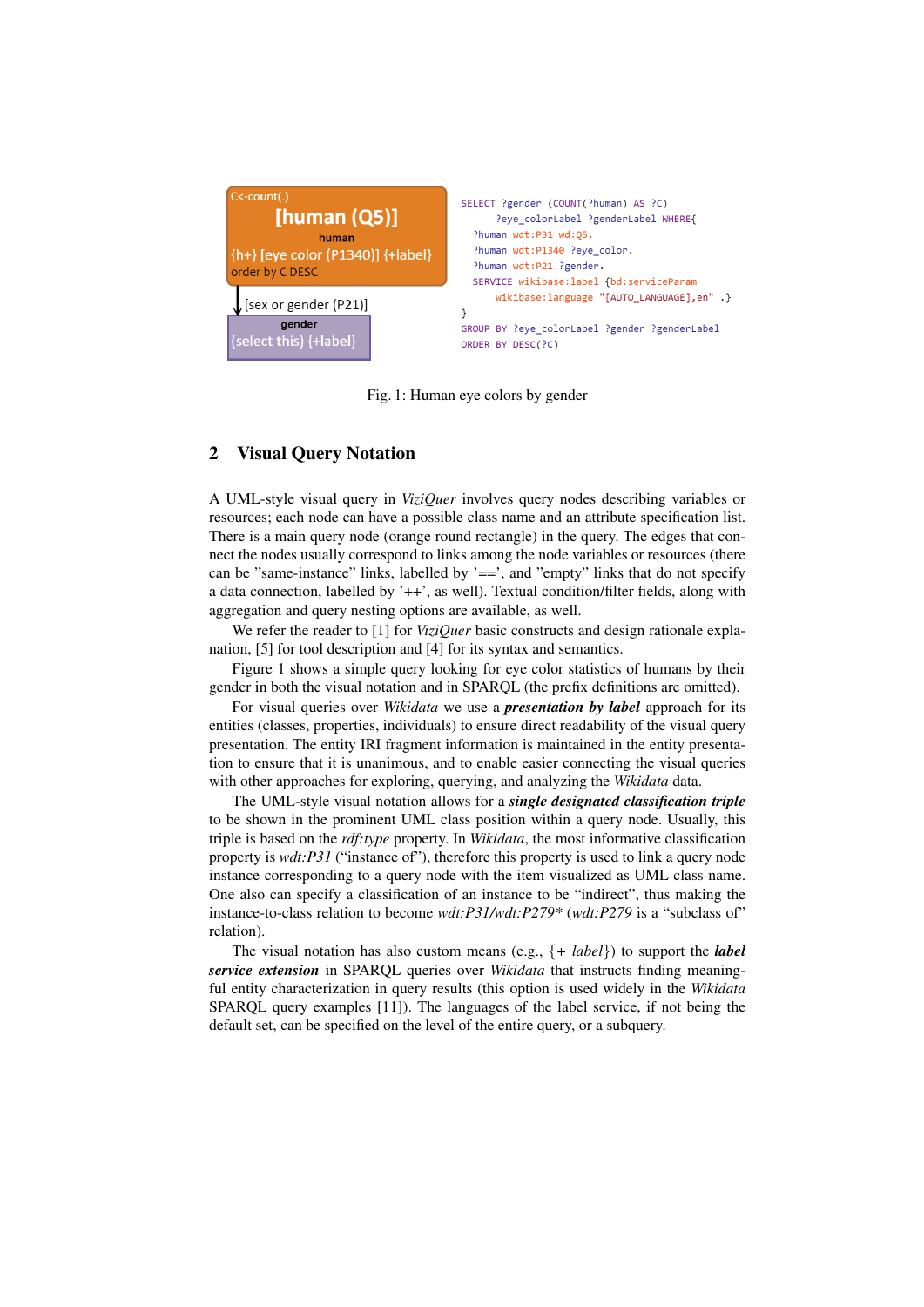

Fig. 1: Human eye colors by gender

## 2 Visual Query Notation

A UML-style visual query in *ViziQuer* involves query nodes describing variables or resources; each node can have a possible class name and an attribute specification list. There is a main query node (orange round rectangle) in the query. The edges that connect the nodes usually correspond to links among the node variables or resources (there can be "same-instance" links, labelled by  $'=='$ , and "empty" links that do not specify a data connection, labelled by '++', as well). Textual condition/filter fields, along with aggregation and query nesting options are available, as well.

We refer the reader to [1] for *ViziQuer* basic constructs and design rationale explanation, [5] for tool description and [4] for its syntax and semantics.

Figure 1 shows a simple query looking for eye color statistics of humans by their gender in both the visual notation and in SPARQL (the prefix definitions are omitted).

For visual queries over *Wikidata* we use a *presentation by label* approach for its entities (classes, properties, individuals) to ensure direct readability of the visual query presentation. The entity IRI fragment information is maintained in the entity presentation to ensure that it is unanimous, and to enable easier connecting the visual queries with other approaches for exploring, querying, and analyzing the *Wikidata* data.

The UML-style visual notation allows for a *single designated classification triple* to be shown in the prominent UML class position within a query node. Usually, this triple is based on the *rdf:type* property. In *Wikidata*, the most informative classification property is *wdt:P31* ("instance of"), therefore this property is used to link a query node instance corresponding to a query node with the item visualized as UML class name. One also can specify a classification of an instance to be "indirect", thus making the instance-to-class relation to become *wdt:P31/wdt:P279\** (*wdt:P279* is a "subclass of" relation).

The visual notation has also custom means (e.g., {*+ label*}) to support the *label service extension* in SPARQL queries over *Wikidata* that instructs finding meaningful entity characterization in query results (this option is used widely in the *Wikidata* SPARQL query examples [11]). The languages of the label service, if not being the default set, can be specified on the level of the entire query, or a subquery.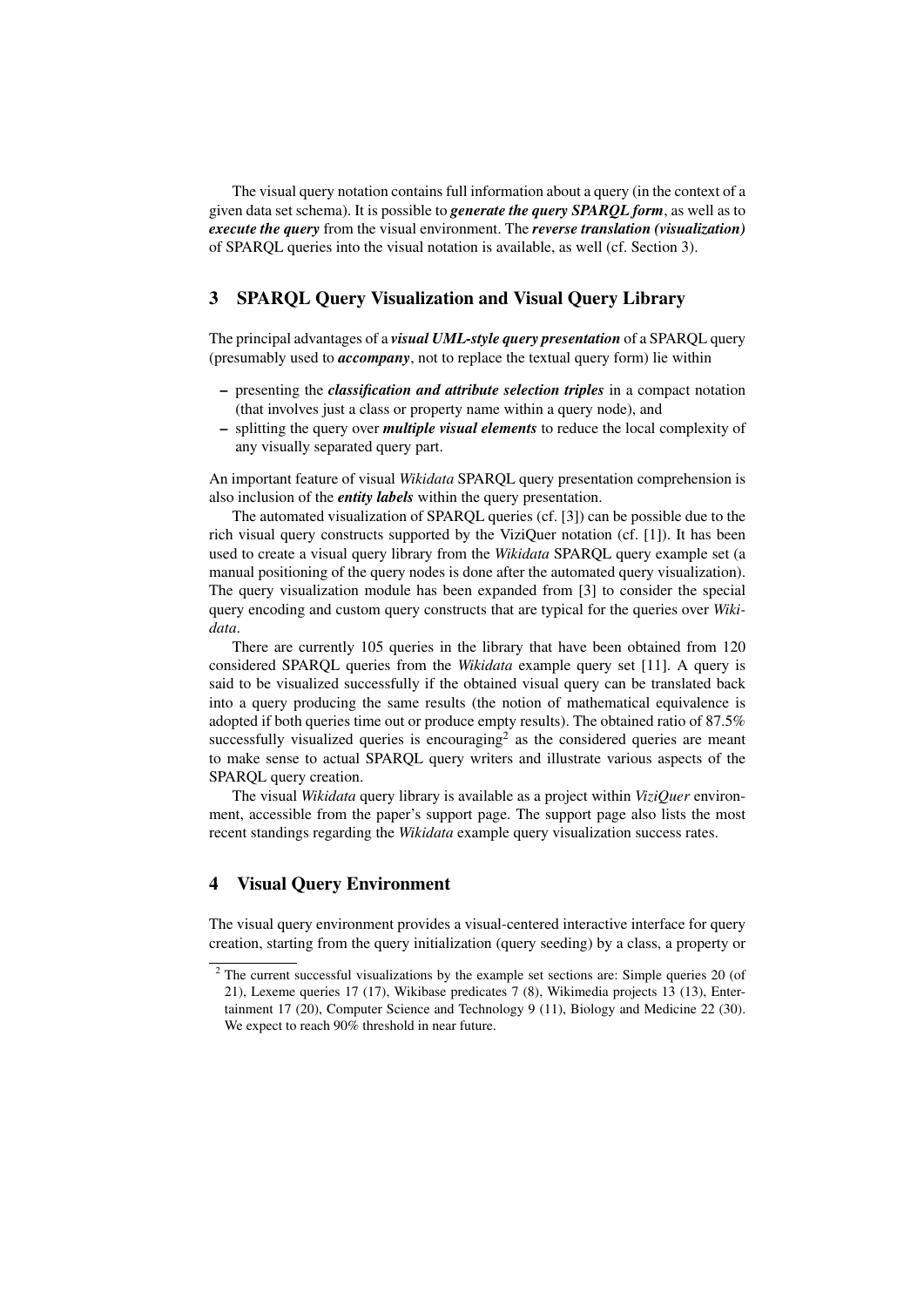The visual query notation contains full information about a query (in the context of a given data set schema). It is possible to *generate the query SPARQL form*, as well as to *execute the query* from the visual environment. The *reverse translation (visualization)* of SPARQL queries into the visual notation is available, as well (cf. Section 3).

### 3 SPARQL Query Visualization and Visual Query Library

The principal advantages of a *visual UML-style query presentation* of a SPARQL query (presumably used to *accompany*, not to replace the textual query form) lie within

- presenting the *classification and attribute selection triples* in a compact notation (that involves just a class or property name within a query node), and
- splitting the query over *multiple visual elements* to reduce the local complexity of any visually separated query part.

An important feature of visual *Wikidata* SPARQL query presentation comprehension is also inclusion of the *entity labels* within the query presentation.

The automated visualization of SPARQL queries (cf. [3]) can be possible due to the rich visual query constructs supported by the ViziQuer notation (cf. [1]). It has been used to create a visual query library from the *Wikidata* SPARQL query example set (a manual positioning of the query nodes is done after the automated query visualization). The query visualization module has been expanded from [3] to consider the special query encoding and custom query constructs that are typical for the queries over *Wikidata*.

There are currently 105 queries in the library that have been obtained from 120 considered SPARQL queries from the *Wikidata* example query set [11]. A query is said to be visualized successfully if the obtained visual query can be translated back into a query producing the same results (the notion of mathematical equivalence is adopted if both queries time out or produce empty results). The obtained ratio of 87.5% successfully visualized queries is encouraging<sup>2</sup> as the considered queries are meant to make sense to actual SPARQL query writers and illustrate various aspects of the SPARQL query creation.

The visual *Wikidata* query library is available as a project within *ViziQuer* environment, accessible from the paper's support page. The support page also lists the most recent standings regarding the *Wikidata* example query visualization success rates.

#### 4 Visual Query Environment

The visual query environment provides a visual-centered interactive interface for query creation, starting from the query initialization (query seeding) by a class, a property or

<sup>&</sup>lt;sup>2</sup> The current successful visualizations by the example set sections are: Simple queries 20 (of 21), Lexeme queries 17 (17), Wikibase predicates 7 (8), Wikimedia projects 13 (13), Entertainment 17 (20), Computer Science and Technology 9 (11), Biology and Medicine 22 (30). We expect to reach 90% threshold in near future.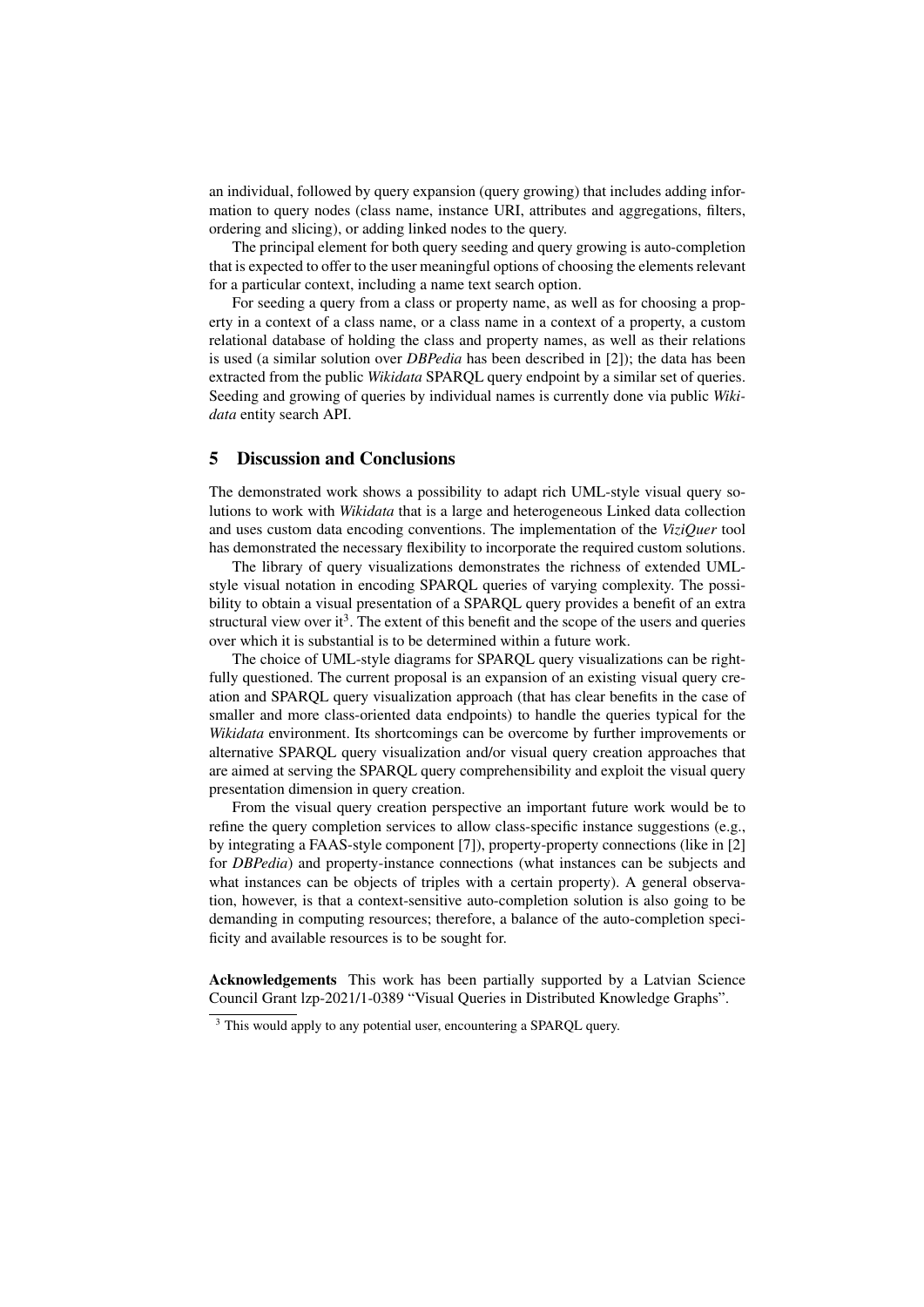an individual, followed by query expansion (query growing) that includes adding information to query nodes (class name, instance URI, attributes and aggregations, filters, ordering and slicing), or adding linked nodes to the query.

The principal element for both query seeding and query growing is auto-completion that is expected to offer to the user meaningful options of choosing the elements relevant for a particular context, including a name text search option.

For seeding a query from a class or property name, as well as for choosing a property in a context of a class name, or a class name in a context of a property, a custom relational database of holding the class and property names, as well as their relations is used (a similar solution over *DBPedia* has been described in [2]); the data has been extracted from the public *Wikidata* SPARQL query endpoint by a similar set of queries. Seeding and growing of queries by individual names is currently done via public *Wikidata* entity search API.

### 5 Discussion and Conclusions

The demonstrated work shows a possibility to adapt rich UML-style visual query solutions to work with *Wikidata* that is a large and heterogeneous Linked data collection and uses custom data encoding conventions. The implementation of the *ViziQuer* tool has demonstrated the necessary flexibility to incorporate the required custom solutions.

The library of query visualizations demonstrates the richness of extended UMLstyle visual notation in encoding SPARQL queries of varying complexity. The possibility to obtain a visual presentation of a SPARQL query provides a benefit of an extra structural view over it<sup>3</sup>. The extent of this benefit and the scope of the users and queries over which it is substantial is to be determined within a future work.

The choice of UML-style diagrams for SPARQL query visualizations can be rightfully questioned. The current proposal is an expansion of an existing visual query creation and SPARQL query visualization approach (that has clear benefits in the case of smaller and more class-oriented data endpoints) to handle the queries typical for the *Wikidata* environment. Its shortcomings can be overcome by further improvements or alternative SPARQL query visualization and/or visual query creation approaches that are aimed at serving the SPARQL query comprehensibility and exploit the visual query presentation dimension in query creation.

From the visual query creation perspective an important future work would be to refine the query completion services to allow class-specific instance suggestions (e.g., by integrating a FAAS-style component [7]), property-property connections (like in [2] for *DBPedia*) and property-instance connections (what instances can be subjects and what instances can be objects of triples with a certain property). A general observation, however, is that a context-sensitive auto-completion solution is also going to be demanding in computing resources; therefore, a balance of the auto-completion specificity and available resources is to be sought for.

Acknowledgements This work has been partially supported by a Latvian Science Council Grant lzp-2021/1-0389 "Visual Queries in Distributed Knowledge Graphs".

 $3$  This would apply to any potential user, encountering a SPARQL query.